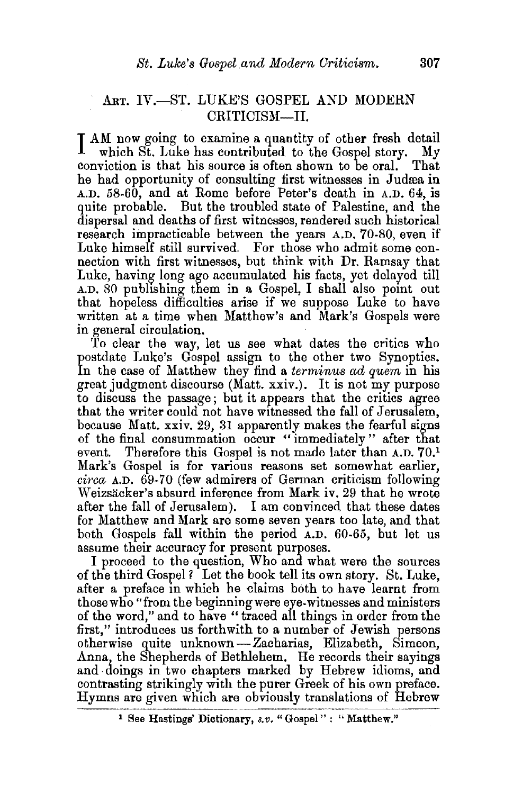## ART. IV.-ST. LUKE'S GOSPEL AND MODERN CRITICISM—II.

I AM now going to examine a quantity of other fresh detail<br>which St. Luke has contributed to the Gospel story. My<br>conviction is that his source is often shown to be oral. That which St. Luke has contributed to the Gospel story. conviction is that his source is often shown to be oral. he had opportunity of consulting first witnesses in Judæa in A.D. 58-60, and at Rome before Peter's death in A.D. 64, is quite probable. But the troubled state of Palestine, and the dispersal and deaths of first witnesses, rendered such historical research impracticable between the years A.D. 70-80, even if Luke himself still survived. For those who admit some connection with first witnesses, but think with Dr. Ramsay that Luke, having long ago accumulated his facts, yet delayed till A.D. 80 publishing them in a Gospel, I shall also point out that hopeless difficulties arise if we suppose Luke to have written at a time when Matthew's and Mark's Gospels were in general circulation.

To clear the way, let us see what dates the critics who postdate Luke's Gospel assign to the other two Synoptics. In the case of Matthew they find a *terminus ad quem* in his great judgment discourse (Matt. xxiv.). It is not my purpose to discuss the passage; but it appears that the critics agree that the writer could not have witnessed the fall of Jerusalem, because Matt. xxiv. 29, 31 apparently makes the fearful signs of the final consummation occur "immediately" after that event. Therefore this Gospel is not made later than A.D. 70.<sup>1</sup> Mark's Gospel is for various reasons set somewhat earlier, *circa* A.D. 69-70 (few admirers of German criticism following Weizsacker's absurd inference from Mark iv. 29 that he wrote after the fall of Jerusalem). I am convinced that these dates for Matthew and Mark are some seven years too late, and that both Gospels fall within the period A.D. 60-65, but let us assume their accuracy for present purposes.

I proceed to the question, Who and what were the sources of the third Gospel? Let the book tell its own story. St. Luke, after a preface in which he claims both to have learnt from those who" from the beginning were eye-witnesses and ministers of the word," and to have "traced all things in order from the first," introduces us forthwith to a number of Jewish persons otherwise quite unknown-Zacharias, Elizabeth, Simeon, Anna, the Shepherds of Bethlehem. He records their sayings and doings in two chapters marked by Hebrew idioms, and contrasting strikingly with the purer Greek of his own preface. Hymns are given which are obviously translations of Hebrew

<sup>&</sup>lt;sup>1</sup> See Hastings' Dictionary, s.v. "Gospel": "Matthew."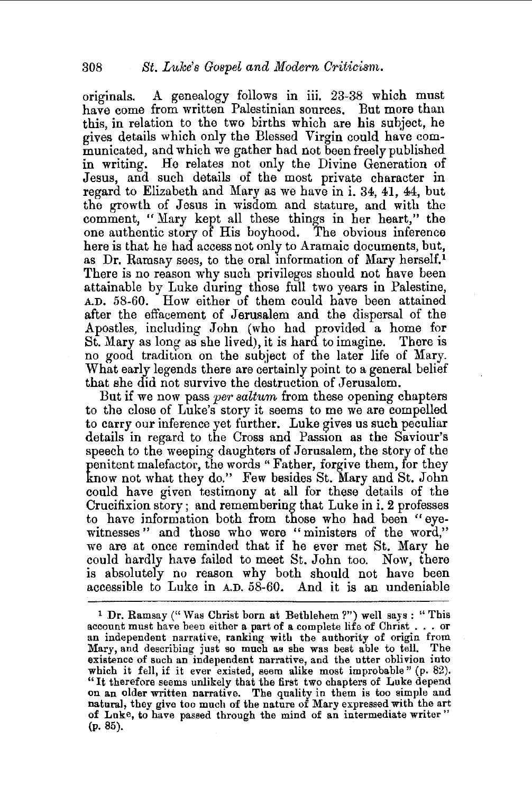originals. A genealogy follows in iii. 23-38 which must have come from written Palestinian sources. But more than this, in relation to the two births which are his subject, he gives details which only the Blessed Virgin could have com~ municated, and which we gather had not been freely published in writing. He relates not only the Divine Generation of Jesus, and such details of the most private character in regard to Elizabeth and Mary as we have in i. 34, 41, 44, but the growth of Jesus in wisdom and stature, and with the comment, " Mary kept all these things in her heart," the one authentic story of His boyhood. The obvious inference here is that he had access not only to Aramaic documents, but, as Dr. Ramsay sees, to the oral information of Mary herself.! There is no reason why such privileges should not have been attainable by Luke during those full two years in Palestine, A.D. 58-60. How either of them could have been attained after the effacement of Jerusalem and the dispersal of the Apostles, including John (who had provided a home for St. Mary as long as she lived), it is hard to imagine. There is no good tradition on the subject of the later life of Mary. What early legends there are certainly point to a general belief that she did not survive the destruction of Jerusalem.

But if we now pass *per saltum* from these opening chapters to the close of Luke's story it seems to me we are compelled to carry our inference yet further. Luke gives us such peculiar details in regard to the Cross and Passion as the Saviour's speech to the weeping daughters of Jerusalem, the story of the penitent malefactor, the words "Father, forgive them, for they know not what they do." Few besides St. Mary and St. John could have given testimony at all for these details of the Crucifixion story; and remembering that Luke in i. 2 professes to have information both from those who had been "eyewitnesses" and those who were "ministers of the word," we are at once reminded that if he ever met St. Mary he could hardly have failed to meet St. John too. Now, there is absolutely no reason why both should not have been accessible to Luke in A.D. 58-60. And it is an undeniable

<sup>&</sup>lt;sup>1</sup> Dr. Ramsay ("Was Christ born at Bethlehem?") well says: "This account must have been either a part of a complete life of Christ... or an independent narrative, ranking with the authority of origin from Mary, and describing just so much as she was best able to tell. The existence of such an independent narrative, and the utter oblivion into which it fell, if it ever existed, seem alike most improbable" (p. 82).<br>"It therefore seems unlikely that the first two chapters of Luke depend which it ten, if it ever existed, seem all the most improbable (p. cz).<br>"It therefore seems unlikely that the first two chapters of Luke depend<br>on an older written narrative. The quality in them is too simple and natural, they give too much of the nature of Mary expressed with the art of Luke, to have passed through the mind of an intermediate writer" (p. 85).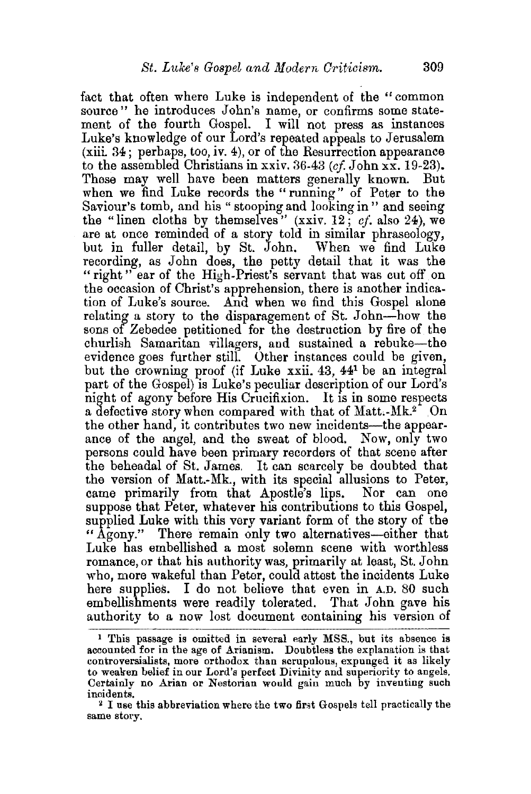fact that often where Luke is independent of the "common source" he introduces John's name, or confirms some statement of the fourth Gospel. I will not press as instances Luke's knowledge of our Lord's repeated appeals to Jerusalem  $(xiii. 34$ ; perhaps, too, iv. 4), or of the Resurrection appearance to the assembled Christians in xxiv. 36-43 *(cf* John xx. 19-23). These may well have been matters generally known. But when we find Luke records the "running" of Peter to the Saviour's tomb, and his " stooping and looking in " and seeing the "linen cloths by themselves" (xxiv. 12; *cf.* also 24), we are at once reminded of a story told in similar phraseology, but in fuller detail, by St. John. When we find Luke recording, as John does, the petty detail that it was the "right" ear of the High-Priest's servant that was cut off on the occasion of Christ's apprehension, there is another indication of Luke's source. And when we find this Gospel alone relating a story to the disparagement of St. John-how the sons of Zebedee petitioned for the destruction by fire of the churlish Samaritan villagers, and sustained a rebuke-the evidence goes further still. Other instances could be given, but the crowning proof (if Luke xxii. 43, 44<sup>1</sup> be an integral part of the Gospel) is Luke's peculiar description of our Lord's night of agony before His Crucifixion. It is in some respects a defective story when compared with that of Matt.- $Mk<sup>2</sup>$ . On the other hand, it contributes two new incidents—the appearance of the angel, and the sweat of blood. Now, only two persons could have been primary recorders of that scene after the beheadal of St. James. It can scarcely be doubted that the version of Matt.-Mk., with its special allusions to Peter, came primarily from that Apostle's lips. Nor can one suppose that Peter, whatever his contributions to this Gospel, supplied Luke with this very variant form of the story of the "Agony." There remain only two alternatives-either that Luke has embellished a most solemn scene with worthless romance, or that his authority was, primarily at least, St. John who, more wakeful than Peter, could attest the incidents Luke here supplies. I do not believe that even in A.D. 80 such embellishments were readily tolerated. That John gave his authority to a now lost document containing his version of

<sup>1</sup> This passage is omitted in several early MSS., but its absence is accounted for in the age of Arianism. Doubtless the explanation is that controversialists, more orthodox: than scrupulous, expunged it as likely to weaken belief in our Lord's perfect Divinity and superiority to angels. Certainly no Arian or Nestorian would gain much by inventing such

incidents.<br><sup>2</sup> I use this abbreviation where the two first Gospels tell practically the same story.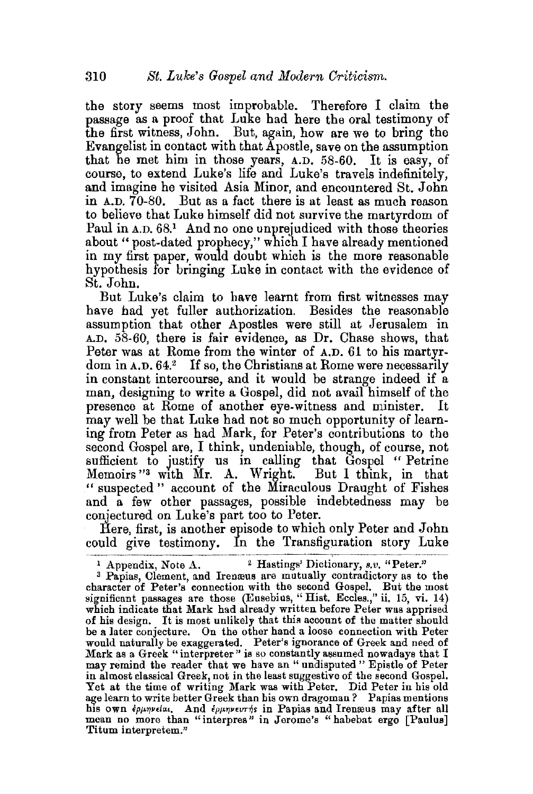the story seems most improbable. Therefore I claim the passage as a proof that Luke had here the oral testimony of the first witness, John. But, again, how are we to bring the Evangelist in contact with that Apostle, save on the assumption that he met him in those years, A.D. 58-60. It is easy, of course, to extend Luke's life and Luke's travels indefinitely, and imagine he visited Asia Minor, and encountered St. John in A.D. 70-80. But as a fact there is at least as much reason to believe that Luke himself did not survive the martyrdom of Paul in A.D. 68.<sup>1</sup> And no one unprejudiced with those theories about "post-dated prophecy," which I have already mentioned in my first paper, would doubt which is the more reasonable hypothesis for bringing Luke in contact with the evidence of St. John.

But Luke's claim to have learnt from first witnesses may have had yet fuller authorization. Besides the reasonable assumption that other Apostles were still at Jerusalem in A.D. 58-60, there is fair evidence, as Dr. Chase shows, that Peter was at Rome from the winter of A.D. 61 to his martyrdom in A.D. 64.<sup>2</sup> If so, the Christians at Rome were necessarily in constant intercourse, and it would be strange indeed if a man, designing to write a Gospel, did not avail himself of the presence at Rome of another eye-witness and minister. It may well be that Luke had not so much opportunity of learning from Peter as had Mark, for Peter's contributions to the second Gospel are, I think, undeniable, though, of course, not sufficient to justify us in calling that Gospel " Petrine Memoirs "3 with Mr. A. Wright. But I think, in that " suspected " account of the Miraculous Draught of Fishes and a few other passages, possible indebtedness may be conjectured on Luke's part too to Peter.

Here, first, is another episode to which only Peter and John could give testimony. In the Transfiguration story Luke

l Appendix, Note A. 2 Hastings' Dictionary, *s.v.* "Peter." 3 Papias, Clement, and Irem:eus are mutually contradictory as to the character of Peter's connection with the second Gospel. But the most significant passages are those (Eusebius, "Hist. Eccles.," ii. 15, vi. 14) which indicate that Mark had already written before Peter was apprised of his design. It is most unlikely that this account of the matter should be a later conjecture. On the other hand a loose connection with Peter would naturally be exaggerated. Peter's ignorance of Greek and need of Mark as a Greek "interpreter" is so constantly assumed nowadays that I may remind the reader that we have an "undisputed" Epistle of Peter in almost classical Greek, not in the least suggestive of the second Gospel. Yet at the time of writing Mark was with Peter, Did Peter in his old age learn to write better Greek than his own dragoman? Papias mentions<br>his own *ερμηνείαι.* And *ερμηνευτήs* in Papias and Irenæus may after all mean no more than "interpres" in Jerome's "habebat ergo [Paulus] Titum interpretem."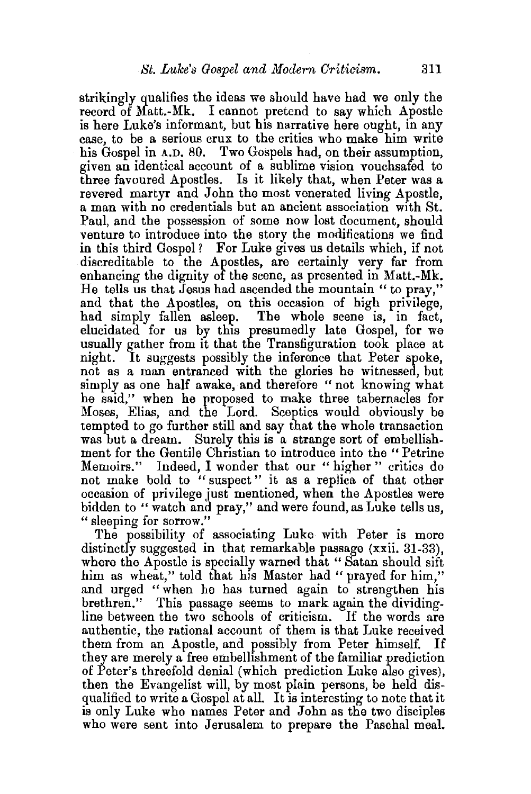strikingly qualifies the ideas we should have had we only the record of Matt.-Mk. I cannot pretend to say which Apostle is here Luke's informant, but his narrative here ought, in any case, to be a serious crux to the critics who make him write his Gospel in A.D. 80. Two Gospels had, on their assumption, given an identical account of a sublime vision vouchsafed to three favoured Apostles. Is it likely that, when Peter was a revered martyr and John the most venerated living Apostle, a man with no credentials but an ancient association with St. Paul, and the possession of some now lost document, should venture to introduce into the story the modifications we find in this third Gospel? For Luke gives us details which, if not discreditable to the Apostles, are certainly very far from enhancing the dignity of the scene, as presented in Matt.-Mk. He tells us that Jesus had ascended the mountain" to pray," and that the Apostles, on this occasion of high privilege, had simply fallen asleep. The whole scene is, in fact, elucidated for us by this presumedly late Gospel, for we usually gather from it that the Transfiguration took place at night. It suggests possibly the inference that Peter spoke, not as a man entranced with the glories he witnessed, but simply as one half awake, and therefore " not knowing what he said," when he proposed to make three tabernacles for Moses, Elias, and the Lord. Sceptics would obviously be tempted to go further still and say that the whole transaction was but a dream. Surely this is a strange sort of embellishment for the Gentile Christian to introduce into the "Petrine Memoirs." Indeed, I wonder that our "higher" critics do not make bold to " suspect " it as a replica of that other occasion of privilege just mentioned, when the Apostles were bidden to " watch and pray," and were found, as Luke tells us, " sleeping for sorrow."

The possibility of associating Luke with Peter is more distinctly suggested in that remarkable passage (xxii. 31-33), where the Apostle is specially warned that "Satan should sift him as wheat," told that his Master had " prayed for him," and urged "when he has turned again to strengthen his brethren." This passage seems to mark again the dividingline between the two schools of criticism. If the words are authentic, the rational account of them is that Luke received them from an Apostle, and possibly from Peter himself. If they are merely a free embellishment of the familiar prediction of Peter's threefold denial (which prediction Luke also gives), then the Evangelist will, by most plain persons, be held disqualified to write a Gospel at all. It is interesting to note that it is only Luke who names Peter and John as the two disciples who were sent into Jerusalem to prepare the Paschal meal.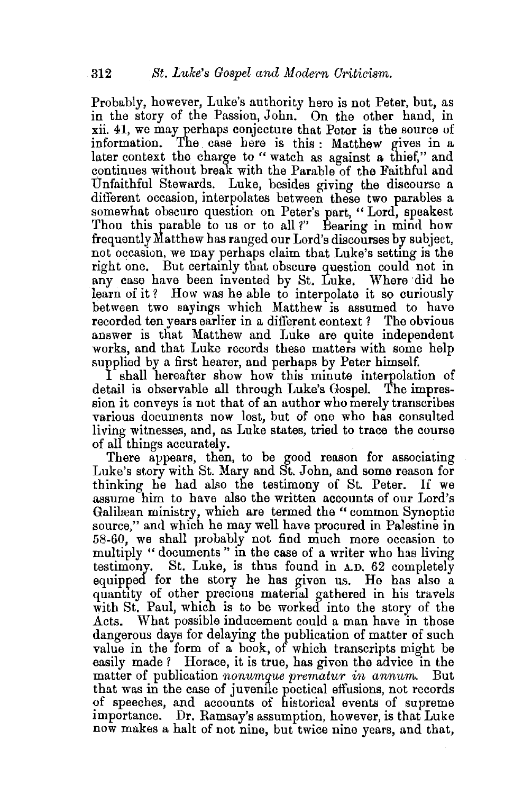Probably, however, Luke's authority here is not Peter, but, as in the story of the Passion, John. On the other hand, in xii.  $41$ , we may perhaps conjecture that Peter is the source of information. The case here is this  $\cdot$  Matthew gives in a The case here is this : Matthew gives in a later context the charge to "watch as against a thief," and continues without break with the Parable of the Faithful and Unfaithful Stewards. Luke, besides giving the discourse a different occasion, interpolates between these two parables a somewhat obscure question on Peter's part, "Lord, speakest Thou this parable to us or to all?" Bearing in mind how frequently Matthew has ranged our Lord's discourses by subject, not occasion, we may perhaps claim that Luke's setting is the right one. But certainly that obscure question could not in any case have been invented by St. Luke. Where did he learn of it? How was he able to interpolate it so curiously between two sayings which Matthew is assumed to have recorded ten years earlier in a different context? The obvious answer is that Matthew and Luke are quite independent works, and that Luke records these matters with some help supplied by a first hearer, and perhaps by Peter himself.

I shall hereafter show how this minute interpolation of detail is observable all through Luke's Gospel The impression it conveys is not that of an author who merely transcribes various documents now lost, but of one who has consulted living witnesses, and, as Luke states, tried to trace the course of all things accurately.

There appears, then, to be good reason for associating Luke's story with St. Mary and St. John, and some reason for thinking he had also the testimony of St. Peter. If we assume him to have also the written accounts of our Lord's Galilæan ministry, which are termed the "common Synoptic source," and which he may well have procured in Palestine in 58-60, we shall probably not find much more occasion to multiply " documents " in the case of a writer who has living testimony. St. Luke, is thus found in A.D. 62 completely equipped for the story he has given us. He has also a quantity of other precious material gathered in his travels with St. Paul, which is to be worked into the story of the Acts. What possible inducement could a man have in those dangerous days for delaying the publication of matter of such value in the form of a book, of which transcripts might be easily made ? Horace, it is true, has given the advice in the matter of publication *nonumque prematur in annum.* But that was in the case of juvenile poetical effusions, not records of speeches, and accounts of historical events of supreme importance. Dr. Ramsay's assumption, however, is that Luke now makes a halt of not nine, but twice nine years, and that,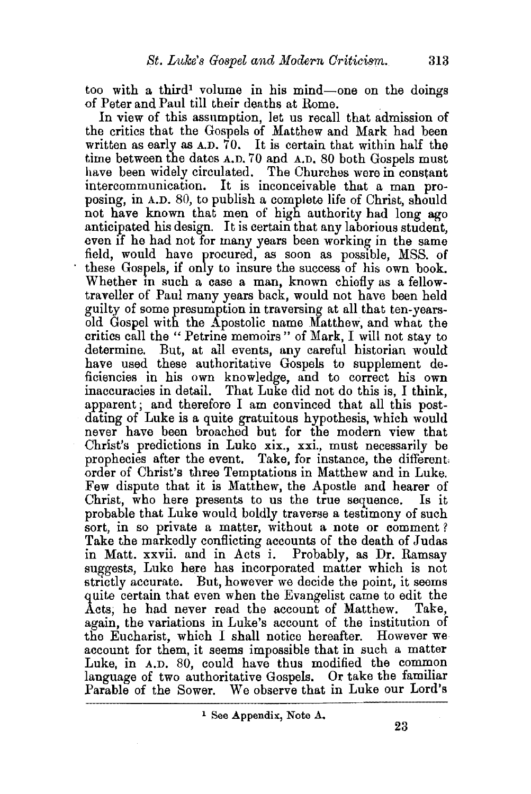too with a third<sup>1</sup> volume in his mind-one on the doings of Peter and Paul till their deaths at Rome.

In view of this assumption, let us recall that admission of the critics that the Gospels of Matthew and Mark had been written as early as A.D. 70. It is certain that within half the time between the dates A.D. 70 and A.D. 80 both Gospels must have been widely circulated. The Churches were in constant intercommunication. It is inconceivable that a man proposing, in A.D. 80, to publish a complete life of Christ, should not have known that men of high authority had long ago anticipated his design. It is certain that any laborious student, even if he had not for many years been working in the same field, would have procured, as soon as posstble, MSS. of these Gospels, if only to insure the success of his own book. Whether in such a case a man, known chiefly as a fellowtraveller of Paul many years back, would not have been held guilty of some presumption in traversing at all that ten-yearsold Gospel with the Apostolic name Matthew, and what the critics call the " Petrine memoirs" of Mark, I will not stay to determine. But, at all events, any careful historian would have used these authoritative Gospels to supplement deficiencies in his own knowledge, and to correct his own inaccuracies in detail. That Luke did not do this is, I think, apparent; and therefore I am convinced that all this postdating of Luke is a quite gratuitous hypothesis, which would never have been broached but for the modern view that Christ's predictions in Luke xix., xxi., must necessarily be prophecies after the event. Take, for instance, the different; order of Christ's three Temptations in Matthew and in Luke. Few dispute that it is Matthew, the Apostle and hearer of Christ, who here presents to us the true sequence. Is it probable that Luke would boldly traverse a testimony of such sort, in so private a matter, without a note or comment? Take the markedly conflicting accounts of the death of Judas in Matt. xxvii. and in Acts i. Probably, as Dr. Ramsay suggests, Luke here has incorporated matter which is not strictly accurate. But, however we decide the point, it seems quite certain that even when the Evangelist came to edit the Acts. he had never read the account of Matthew. Take. Acts; he had never read the account of Matthew. again, the variations in Luke's account of the institution of the Eucharist, which I shall notice hereafter. However we account for them, it seems impossible that in such a matter Luke, in A.D. 80, could have thus modified the common language of two authoritative Gospels. Or take the familiar Parable of the Sower. We observe that in Luke our Lord's We observe that in Luke our Lord's

 $1$  See Appendix, Note A.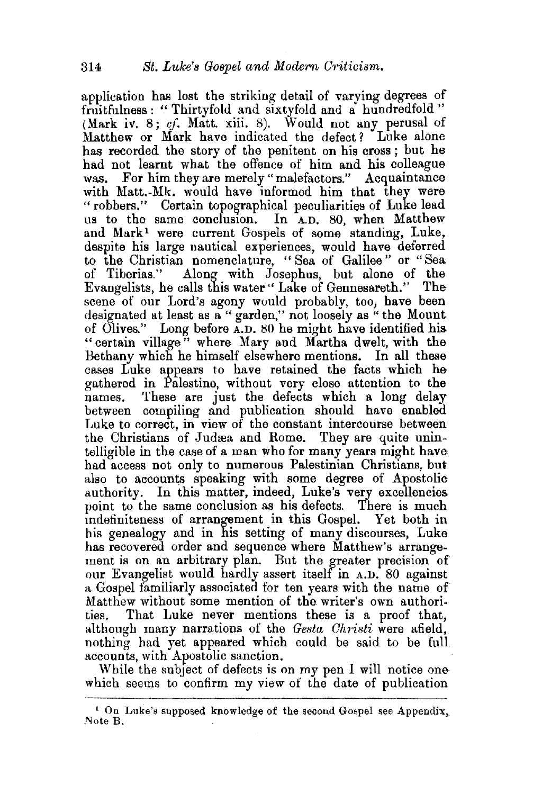application has lost the striking detail of varying degrees of fruitfulness : " Thirtyfold and sixtyfold and a hundredfold " (Mark iv. 8; *cf.* Matt. xiii. 8). Would not any perusal of Matthew or Mark have indicated the defect? Luke alone has recorded the story of the penitent on his cross ; but he had not learnt what the offence of him and his colleague was. For him they are merely "malefactors." Acquaintance with Matt.-Mk. would have informed him that they were "robbers." Certain topographical peculiarities of Luke lead us to the same conclusion. In  $A.D. 80$ , when Matthew and Mark<sup>1</sup> were current Gospels of some standing, Luke, despite his large nautical experiences, would have deferred to the Christian nomenclature, "Sea of Galilee" or "Sea of Tiberias." Along with Josephus, but alone of the Along with Josephus, but alone of the Evangelists, he calls this water''Lake of Gennesareth." The scene of our Lord's agony would probably, too, have been designated at least as a "garden," not loosely as " the Mount of Olives." Long before A.D. 80 he might have identified his "certain village" where Mary and Martha dwelt, with the Bethany which he himself elsewhere mentions. In all these cases Luke appears to have retained the facts which he gathered in Palestine, without very close attention to the names. These are just the defects which a long delay between compiling and publication should have enabled Luke to correct, in view of the constant intercourse between the Christians of Judrea and Rome. They are quite unintelligible in the case of a man who for many years might have had access not only to numerous Palestinian Christians, but also to accounts speaking with some degree of Apostolic authority. In this matter, indeed, Luke's very excellencies point to the same conclusion as his defects. There is much mdefiniteness of arrangement in this Gospel. Yet both in his genealogy and in his setting of many discourses, Luke has recovered order and sequence where Matthew's arrangement is on an arbitrary plan. But the greater precision of our Evangelist would hardly assert itself in A.D. 80 against a Gospel familiarly associated for ten years with the name of Matthew without some mention of the writer's own authorities. That Luke never mentions these is a proof that, although many narrations of the *Gesta Christi* were afield, nothing had yet appeared which could be said to be full accounts, with Apostolic sanction.

While the subject of defects is on my pen I will notice one which seems to confirm my view of the date of publication

<sup>&</sup>lt;sup>1</sup> On Luke's supposed knowledge of the second Gospel see Appendix, Note B.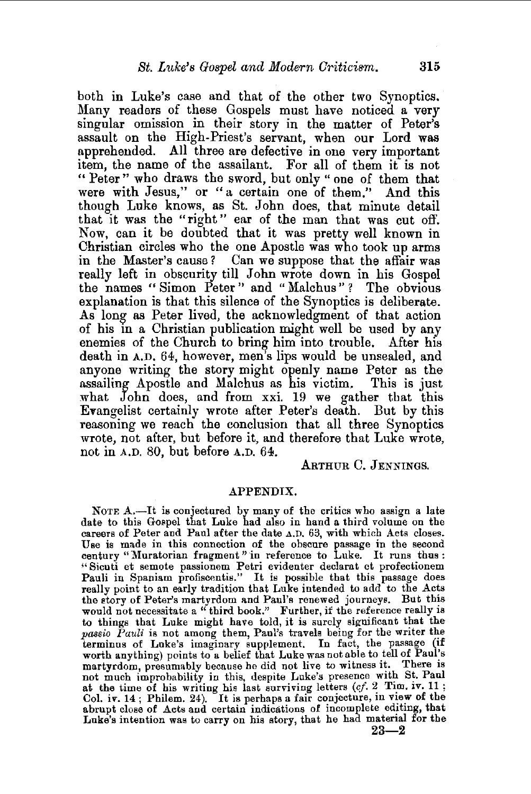both in Luke's case and that of the other two Synoptics. Many readers of these Gospels must have noticed a very singular omission in their story in the matter of Peter's assault on the High-Priest's servant, when our Lord was apprehended. All three are defective in one very important item, the name of the assailant. For all of them it is not " Peter" who draws the sword, but only " one of them that were with Jesus," or "a certain one of them." And this though Luke knows, as St. John does, that minute detail that it was the "right" ear of the man that was cut off. Now, can it be doubted that it was pretty well known in Christian circles who the one Apostle was who took up arms in the Master's cause ? Can we suppose that the affair was really left in obscurity till John wrote down in his Gospel the names "Simon Peter" and "Malchus"? The obvious explanation is that this silence of the Synoptics is deliberate. As long- as Peter lived, the acknowledgment of that action of his in a Christian publication might well be used by any enemies of the Church to bring him into trouble. After his death in A.D. 64, however, men's lips would be unsealed, and anyone writing the story might openly name Peter as the assailing Apostle and Malchus as his victim. This is just what  $John$  does, and from xxi. 19 we gather that this ETangelist certainly wrote after Peter's death. But by this reasoning we reach the conclusion that all three Synoptics wrote, not after, but before it, and therefore that Luke wrote, not in A.D. 80, but before A.D. 64.

ARTHUR C. JENNINGS.

## APPENDIX.

NOTE A.—It is conjectured by many of the critics who assign a late date to this Gospel that Luke had also in hand a third volume on the careers of Peter and Paul after the date A.D. 63, with which Acts closes. Use is made in this connection of the obscure passage in the second century "Muratorian fragment" in reference to Luke. It runs thus: '' Sicuti et semote passionem Petri evidenter declarat et profectionem Pauli in Spaniam profiscentis." It is possible that this passage does really point to an early tradition that Luke intended to add to the Acts the story of Peter's martyrdom and Paul's renewed journeys. But this would not necessitate a "third book." Further, if the reference really is to things that Luke might have told, it is surely significant that the *passio Pauli* is not among them, Paul's travels being for the writer the terminus of Luke's imaginary supplement. In fact, the passage (1f worth anything) points to a belief that Luke was not able to tell of Paul's martyrdom, presumably because he did not live to witness it. There is not much improbability in this, despite Luke's presence with St. Paul at the time of his writing his last surviving letters (cf. 2 Tim. iv. 11; Col. iv. 14; Philem. 24). It is perhaps a fair conjecture, in view of the abrupt close of Acts and certain indications of incomplete editing, that Luke's intention was to carry on his story, that he had material for the

 $23 - 2$